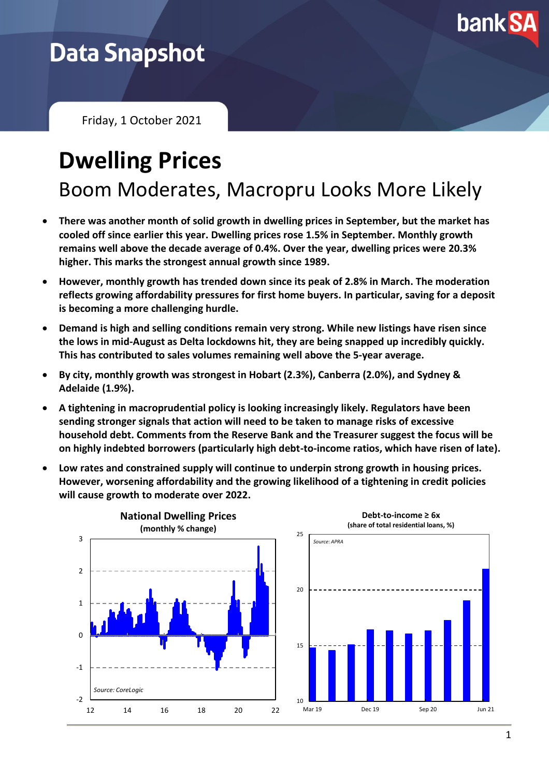

## **Data Snapshot**

Friday, 1 October 2021

# **Dwelling Prices**

Boom Moderates, Macropru Looks More Likely

- **There was another month of solid growth in dwelling prices in September, but the market has cooled off since earlier this year. Dwelling prices rose 1.5% in September. Monthly growth remains well above the decade average of 0.4%. Over the year, dwelling prices were 20.3% higher. This marks the strongest annual growth since 1989.**
- **However, monthly growth has trended down since its peak of 2.8% in March. The moderation reflects growing affordability pressures for first home buyers. In particular, saving for a deposit is becoming a more challenging hurdle.**
- **Demand is high and selling conditions remain very strong. While new listings have risen since the lows in mid-August as Delta lockdowns hit, they are being snapped up incredibly quickly. This has contributed to sales volumes remaining well above the 5-year average.**
- **By city, monthly growth was strongest in Hobart (2.3%), Canberra (2.0%), and Sydney & Adelaide (1.9%).**
- **A tightening in macroprudential policy is looking increasingly likely. Regulators have been sending stronger signals that action will need to be taken to manage risks of excessive household debt. Comments from the Reserve Bank and the Treasurer suggest the focus will be on highly indebted borrowers (particularly high debt-to-income ratios, which have risen of late).**
- **Low rates and constrained supply will continue to underpin strong growth in housing prices. However, worsening affordability and the growing likelihood of a tightening in credit policies will cause growth to moderate over 2022.**

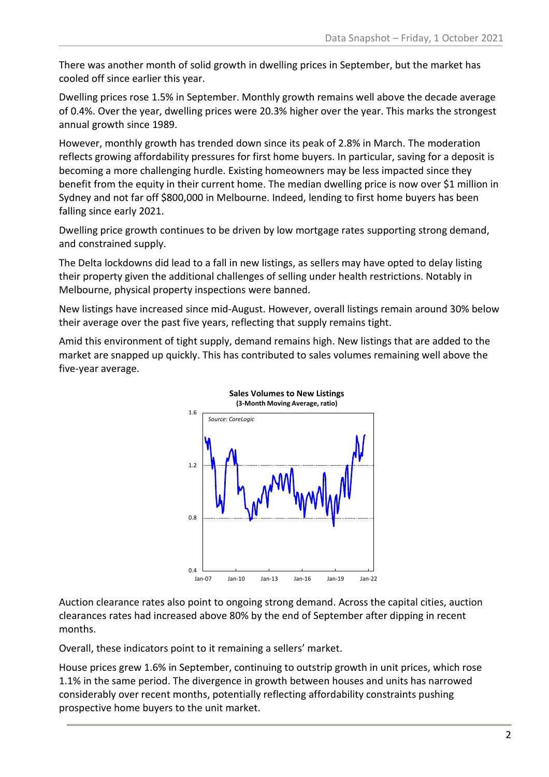There was another month of solid growth in dwelling prices in September, but the market has cooled off since earlier this year.

Dwelling prices rose 1.5% in September. Monthly growth remains well above the decade average of 0.4%. Over the year, dwelling prices were 20.3% higher over the year. This marks the strongest annual growth since 1989.

However, monthly growth has trended down since its peak of 2.8% in March. The moderation reflects growing affordability pressures for first home buyers. In particular, saving for a deposit is becoming a more challenging hurdle. Existing homeowners may be less impacted since they benefit from the equity in their current home. The median dwelling price is now over \$1 million in Sydney and not far off \$800,000 in Melbourne. Indeed, lending to first home buyers has been falling since early 2021.

Dwelling price growth continues to be driven by low mortgage rates supporting strong demand, and constrained supply.

The Delta lockdowns did lead to a fall in new listings, as sellers may have opted to delay listing their property given the additional challenges of selling under health restrictions. Notably in Melbourne, physical property inspections were banned.

New listings have increased since mid-August. However, overall listings remain around 30% below their average over the past five years, reflecting that supply remains tight.

Amid this environment of tight supply, demand remains high. New listings that are added to the market are snapped up quickly. This has contributed to sales volumes remaining well above the five-year average.



Auction clearance rates also point to ongoing strong demand. Across the capital cities, auction clearances rates had increased above 80% by the end of September after dipping in recent months.

Overall, these indicators point to it remaining a sellers' market.

House prices grew 1.6% in September, continuing to outstrip growth in unit prices, which rose 1.1% in the same period. The divergence in growth between houses and units has narrowed considerably over recent months, potentially reflecting affordability constraints pushing prospective home buyers to the unit market.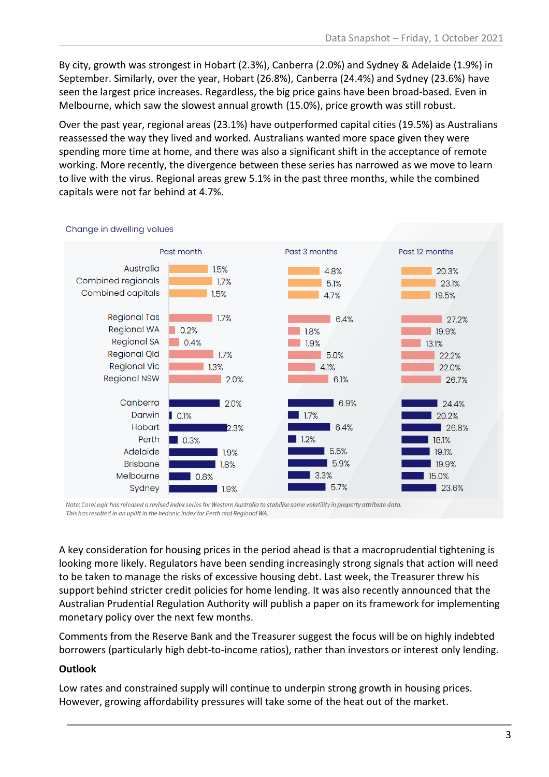By city, growth was strongest in Hobart (2.3%), Canberra (2.0%) and Sydney & Adelaide (1.9%) in September. Similarly, over the year, Hobart (26.8%), Canberra (24.4%) and Sydney (23.6%) have seen the largest price increases. Regardless, the big price gains have been broad-based. Even in Melbourne, which saw the slowest annual growth (15.0%), price growth was still robust.

Over the past year, regional areas (23.1%) have outperformed capital cities (19.5%) as Australians reassessed the way they lived and worked. Australians wanted more space given they were spending more time at home, and there was also a significant shift in the acceptance of remote working. More recently, the divergence between these series has narrowed as we move to learn to live with the virus. Regional areas grew 5.1% in the past three months, while the combined capitals were not far behind at 4.7%.



#### Change in dwelling values

Note: CoreLogic has released a revised index series for Western Australia to stabilise some volatility in property attribute data. This has resulted in an uplift in the hedonic index for Perth and Regional WA.

A key consideration for housing prices in the period ahead is that a macroprudential tightening is looking more likely. Regulators have been sending increasingly strong signals that action will need to be taken to manage the risks of excessive housing debt. Last week, the Treasurer threw his support behind stricter credit policies for home lending. It was also recently announced that the Australian Prudential Regulation Authority will publish a paper on its framework for implementing monetary policy over the next few months.

Comments from the Reserve Bank and the Treasurer suggest the focus will be on highly indebted borrowers (particularly high debt-to-income ratios), rather than investors or interest only lending.

### **Outlook**

Low rates and constrained supply will continue to underpin strong growth in housing prices. However, growing affordability pressures will take some of the heat out of the market.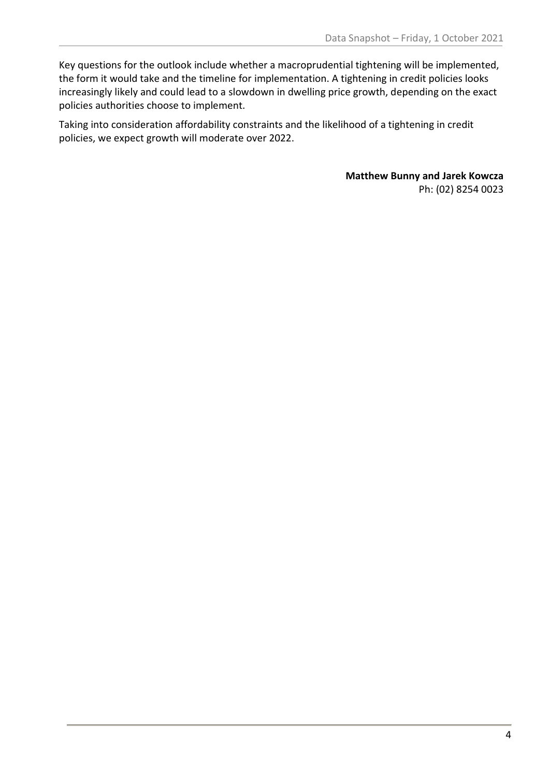Key questions for the outlook include whether a macroprudential tightening will be implemented, the form it would take and the timeline for implementation. A tightening in credit policies looks increasingly likely and could lead to a slowdown in dwelling price growth, depending on the exact policies authorities choose to implement.

Taking into consideration affordability constraints and the likelihood of a tightening in credit policies, we expect growth will moderate over 2022.

> **Matthew Bunny and Jarek Kowcza** Ph: (02) 8254 0023